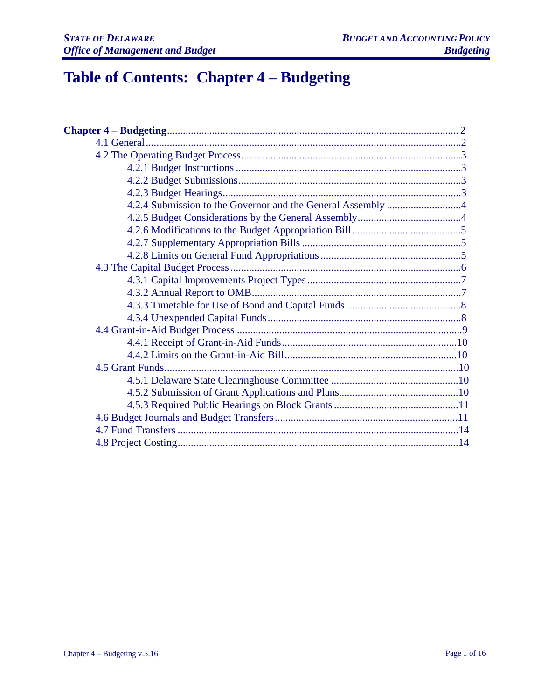# **Table of Contents: Chapter 4 – Budgeting**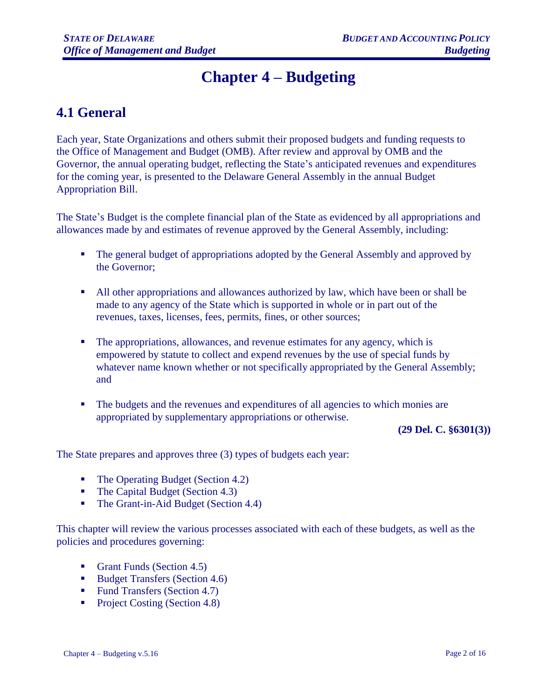# **Chapter 4 – Budgeting**

# **4.1 General**

Each year, State Organizations and others submit their proposed budgets and funding requests to the Office of Management and Budget (OMB). After review and approval by OMB and the Governor, the annual operating budget, reflecting the State's anticipated revenues and expenditures for the coming year, is presented to the Delaware General Assembly in the annual Budget Appropriation Bill.

The State's Budget is the complete financial plan of the State as evidenced by all appropriations and allowances made by and estimates of revenue approved by the General Assembly, including:

- The general budget of appropriations adopted by the General Assembly and approved by the Governor;
- All other appropriations and allowances authorized by law, which have been or shall be made to any agency of the State which is supported in whole or in part out of the revenues, taxes, licenses, fees, permits, fines, or other sources;
- The appropriations, allowances, and revenue estimates for any agency, which is empowered by statute to collect and expend revenues by the use of special funds by whatever name known whether or not specifically appropriated by the General Assembly; and
- The budgets and the revenues and expenditures of all agencies to which monies are appropriated by supplementary appropriations or otherwise.

**(29 Del. C. §6301(3))**

The State prepares and approves three (3) types of budgets each year:

- The Operating Budget (Section 4.2)
- The Capital Budget (Section 4.3)
- The Grant-in-Aid Budget (Section 4.4)

This chapter will review the various processes associated with each of these budgets, as well as the policies and procedures governing:

- Grant Funds (Section 4.5)
- Budget Transfers (Section 4.6)
- Fund Transfers (Section 4.7)
- Project Costing (Section 4.8)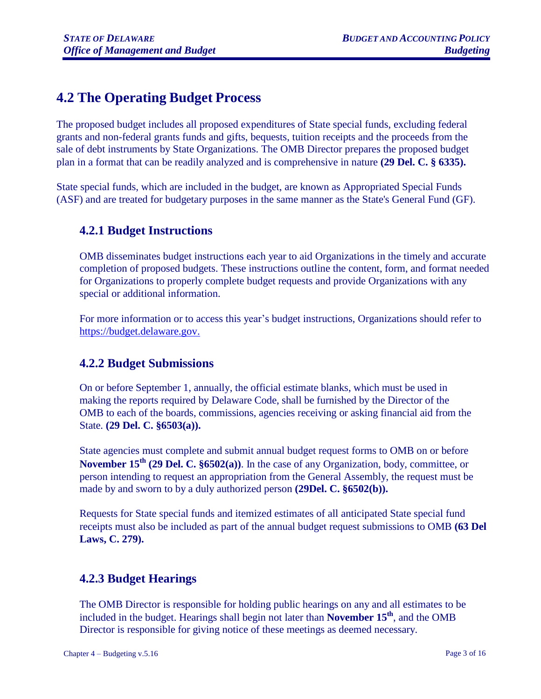# **4.2 The Operating Budget Process**

The proposed budget includes all proposed expenditures of State special funds, excluding federal grants and non-federal grants funds and gifts, bequests, tuition receipts and the proceeds from the sale of debt instruments by State Organizations. The OMB Director prepares the proposed budget plan in a format that can be readily analyzed and is comprehensive in nature **(29 Del. C. § 6335).** 

State special funds, which are included in the budget, are known as Appropriated Special Funds (ASF) and are treated for budgetary purposes in the same manner as the State's General Fund (GF).

### **4.2.1 Budget Instructions**

OMB disseminates budget instructions each year to aid Organizations in the timely and accurate completion of proposed budgets. These instructions outline the content, form, and format needed for Organizations to properly complete budget requests and provide Organizations with any special or additional information.

For more information or to access this year's budget instructions, Organizations should refer to [https://budget.delaware.gov](https://budget.delaware.gov/)[.](file://///DOAFP02/erp/BAM%20-%20Proposed%20Revisions_Meeting%20Minutes_Supporting%20Docs/Proposed%20Revisions/Chapter%204%20-%20Budgeting/)

# **4.2.2 Budget Submissions**

On or before September 1, annually, the official estimate blanks, which must be used in making the reports required by Delaware Code, shall be furnished by the Director of the OMB to each of the boards, commissions, agencies receiving or asking financial aid from the State. **(29 Del. C. §6503(a)).**

State agencies must complete and submit annual budget request forms to OMB on or before **November 15th (29 Del. C. §6502(a))**. In the case of any Organization, body, committee, or person intending to request an appropriation from the General Assembly, the request must be made by and sworn to by a duly authorized person **(29Del. C. §6502(b)).**

Requests for State special funds and itemized estimates of all anticipated State special fund receipts must also be included as part of the annual budget request submissions to OMB **(63 Del Laws, C. 279).**

# **4.2.3 Budget Hearings**

The OMB Director is responsible for holding public hearings on any and all estimates to be included in the budget. Hearings shall begin not later than **November 15th** , and the OMB Director is responsible for giving notice of these meetings as deemed necessary.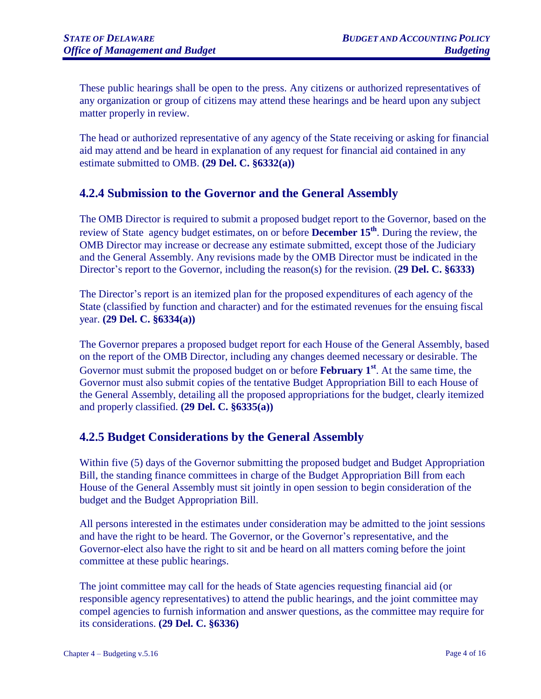These public hearings shall be open to the press. Any citizens or authorized representatives of any organization or group of citizens may attend these hearings and be heard upon any subject matter properly in review.

The head or authorized representative of any agency of the State receiving or asking for financial aid may attend and be heard in explanation of any request for financial aid contained in any estimate submitted to OMB. **(29 Del. C. §6332(a))**

# **4.2.4 Submission to the Governor and the General Assembly**

The OMB Director is required to submit a proposed budget report to the Governor, based on the review of State agency budget estimates, on or before **December 15th**. During the review, the OMB Director may increase or decrease any estimate submitted, except those of the Judiciary and the General Assembly. Any revisions made by the OMB Director must be indicated in the Director's report to the Governor, including the reason(s) for the revision. (**29 Del. C. §6333)**

The Director's report is an itemized plan for the proposed expenditures of each agency of the State (classified by function and character) and for the estimated revenues for the ensuing fiscal year. **(29 Del. C. §6334(a))**

The Governor prepares a proposed budget report for each House of the General Assembly, based on the report of the OMB Director, including any changes deemed necessary or desirable. The Governor must submit the proposed budget on or before **February 1st** . At the same time, the Governor must also submit copies of the tentative Budget Appropriation Bill to each House of the General Assembly, detailing all the proposed appropriations for the budget, clearly itemized and properly classified. **(29 Del. C. §6335(a))**

# **4.2.5 Budget Considerations by the General Assembly**

Within five (5) days of the Governor submitting the proposed budget and Budget Appropriation Bill, the standing finance committees in charge of the Budget Appropriation Bill from each House of the General Assembly must sit jointly in open session to begin consideration of the budget and the Budget Appropriation Bill.

All persons interested in the estimates under consideration may be admitted to the joint sessions and have the right to be heard. The Governor, or the Governor's representative, and the Governor-elect also have the right to sit and be heard on all matters coming before the joint committee at these public hearings.

The joint committee may call for the heads of State agencies requesting financial aid (or responsible agency representatives) to attend the public hearings, and the joint committee may compel agencies to furnish information and answer questions, as the committee may require for its considerations. **(29 Del. C. §6336)**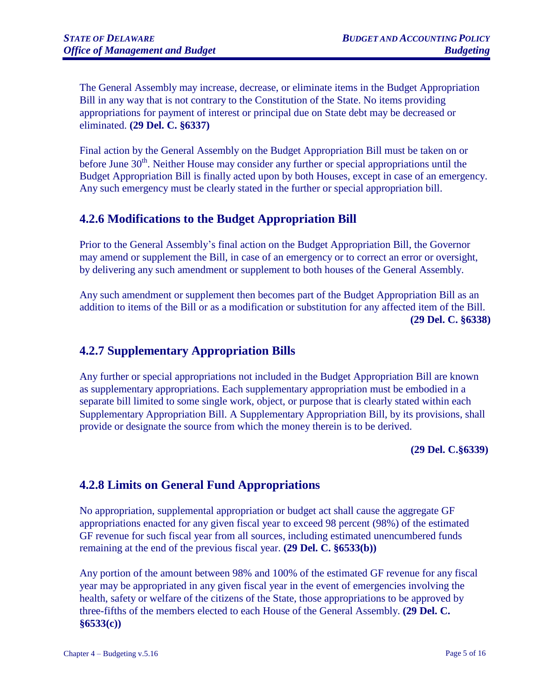The General Assembly may increase, decrease, or eliminate items in the Budget Appropriation Bill in any way that is not contrary to the Constitution of the State. No items providing appropriations for payment of interest or principal due on State debt may be decreased or eliminated. **(29 Del. C. §6337)**

Final action by the General Assembly on the Budget Appropriation Bill must be taken on or before June  $30<sup>th</sup>$ . Neither House may consider any further or special appropriations until the Budget Appropriation Bill is finally acted upon by both Houses, except in case of an emergency. Any such emergency must be clearly stated in the further or special appropriation bill.

### **4.2.6 Modifications to the Budget Appropriation Bill**

Prior to the General Assembly's final action on the Budget Appropriation Bill, the Governor may amend or supplement the Bill, in case of an emergency or to correct an error or oversight, by delivering any such amendment or supplement to both houses of the General Assembly.

Any such amendment or supplement then becomes part of the Budget Appropriation Bill as an addition to items of the Bill or as a modification or substitution for any affected item of the Bill. **(29 Del. C. §6338)**

# **4.2.7 Supplementary Appropriation Bills**

Any further or special appropriations not included in the Budget Appropriation Bill are known as supplementary appropriations. Each supplementary appropriation must be embodied in a separate bill limited to some single work, object, or purpose that is clearly stated within each Supplementary Appropriation Bill. A Supplementary Appropriation Bill, by its provisions, shall provide or designate the source from which the money therein is to be derived.

**(29 Del. C.§6339)**

### **4.2.8 Limits on General Fund Appropriations**

No appropriation, supplemental appropriation or budget act shall cause the aggregate GF appropriations enacted for any given fiscal year to exceed 98 percent (98%) of the estimated GF revenue for such fiscal year from all sources, including estimated unencumbered funds remaining at the end of the previous fiscal year. **(29 Del. C. §6533(b))**

Any portion of the amount between 98% and 100% of the estimated GF revenue for any fiscal year may be appropriated in any given fiscal year in the event of emergencies involving the health, safety or welfare of the citizens of the State, those appropriations to be approved by three-fifths of the members elected to each House of the General Assembly. **(29 Del. C. §6533(c))**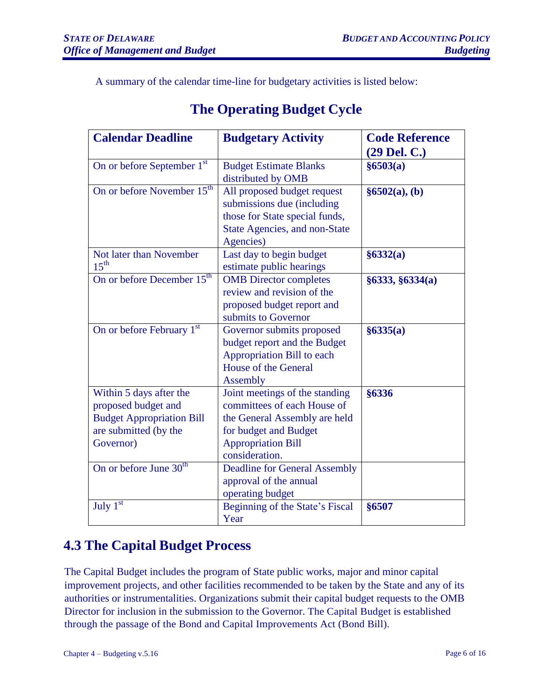A summary of the calendar time-line for budgetary activities is listed below:

| <b>Calendar Deadline</b>                                                                                                 | <b>Budgetary Activity</b>                                                                                                                                              | <b>Code Reference</b><br>$(29$ Del. C.) |
|--------------------------------------------------------------------------------------------------------------------------|------------------------------------------------------------------------------------------------------------------------------------------------------------------------|-----------------------------------------|
| On or before September 1st                                                                                               | <b>Budget Estimate Blanks</b><br>distributed by OMB                                                                                                                    | §6503(a)                                |
| On or before November 15 <sup>th</sup>                                                                                   | All proposed budget request<br>submissions due (including<br>those for State special funds,<br>State Agencies, and non-State<br>Agencies)                              | §6502(a), (b)                           |
| Not later than November<br>$15^{\text{th}}$                                                                              | Last day to begin budget<br>estimate public hearings                                                                                                                   | §6332(a)                                |
| On or before December 15 <sup>th</sup>                                                                                   | <b>OMB</b> Director completes<br>review and revision of the<br>proposed budget report and<br>submits to Governor                                                       | §6333, §6334(a)                         |
| On or before February 1st                                                                                                | Governor submits proposed<br>budget report and the Budget<br>Appropriation Bill to each<br><b>House of the General</b><br><b>Assembly</b>                              | §6335(a)                                |
| Within 5 days after the<br>proposed budget and<br><b>Budget Appropriation Bill</b><br>are submitted (by the<br>Governor) | Joint meetings of the standing<br>committees of each House of<br>the General Assembly are held<br>for budget and Budget<br><b>Appropriation Bill</b><br>consideration. | §6336                                   |
| On or before June 30 <sup>th</sup>                                                                                       | <b>Deadline for General Assembly</b><br>approval of the annual<br>operating budget                                                                                     |                                         |
| July $1^{\overline{st}}$                                                                                                 | Beginning of the State's Fiscal<br>Year                                                                                                                                | §6507                                   |

# **The Operating Budget Cycle**

# **4.3 The Capital Budget Process**

The Capital Budget includes the program of State public works, major and minor capital improvement projects, and other facilities recommended to be taken by the State and any of its authorities or instrumentalities. Organizations submit their capital budget requests to the OMB Director for inclusion in the submission to the Governor. The Capital Budget is established through the passage of the Bond and Capital Improvements Act (Bond Bill).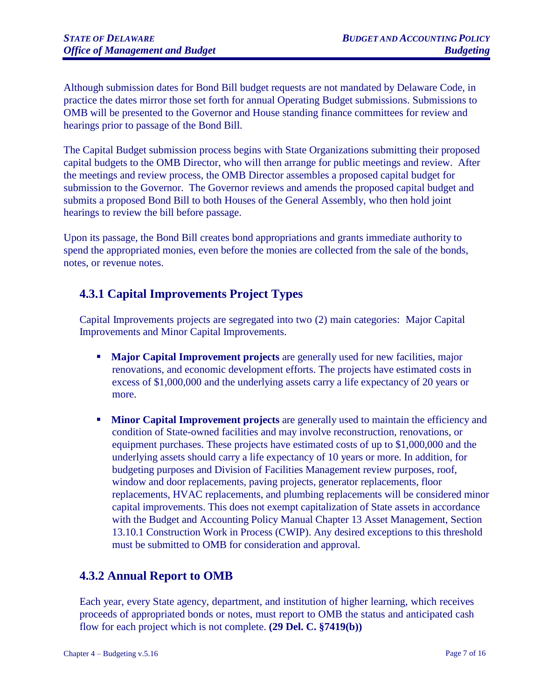Although submission dates for Bond Bill budget requests are not mandated by Delaware Code, in practice the dates mirror those set forth for annual Operating Budget submissions. Submissions to OMB will be presented to the Governor and House standing finance committees for review and hearings prior to passage of the Bond Bill.

The Capital Budget submission process begins with State Organizations submitting their proposed capital budgets to the OMB Director, who will then arrange for public meetings and review. After the meetings and review process, the OMB Director assembles a proposed capital budget for submission to the Governor. The Governor reviews and amends the proposed capital budget and submits a proposed Bond Bill to both Houses of the General Assembly, who then hold joint hearings to review the bill before passage.

Upon its passage, the Bond Bill creates bond appropriations and grants immediate authority to spend the appropriated monies, even before the monies are collected from the sale of the bonds, notes, or revenue notes.

# **4.3.1 Capital Improvements Project Types**

Capital Improvements projects are segregated into two (2) main categories: Major Capital Improvements and Minor Capital Improvements.

- **Major Capital Improvement projects** are generally used for new facilities, major renovations, and economic development efforts. The projects have estimated costs in excess of \$1,000,000 and the underlying assets carry a life expectancy of 20 years or more.
- **EXECUTE:** Minor Capital Improvement projects are generally used to maintain the efficiency and condition of State-owned facilities and may involve reconstruction, renovations, or equipment purchases. These projects have estimated costs of up to \$1,000,000 and the underlying assets should carry a life expectancy of 10 years or more. In addition, for budgeting purposes and Division of Facilities Management review purposes, roof, window and door replacements, paving projects, generator replacements, floor replacements, HVAC replacements, and plumbing replacements will be considered minor capital improvements. This does not exempt capitalization of State assets in accordance with the Budget and Accounting Policy Manual Chapter 13 Asset Management, Section 13.10.1 Construction Work in Process (CWIP). Any desired exceptions to this threshold must be submitted to OMB for consideration and approval.

### **4.3.2 Annual Report to OMB**

Each year, every State agency, department, and institution of higher learning, which receives proceeds of appropriated bonds or notes, must report to OMB the status and anticipated cash flow for each project which is not complete. **(29 Del. C. §7419(b))**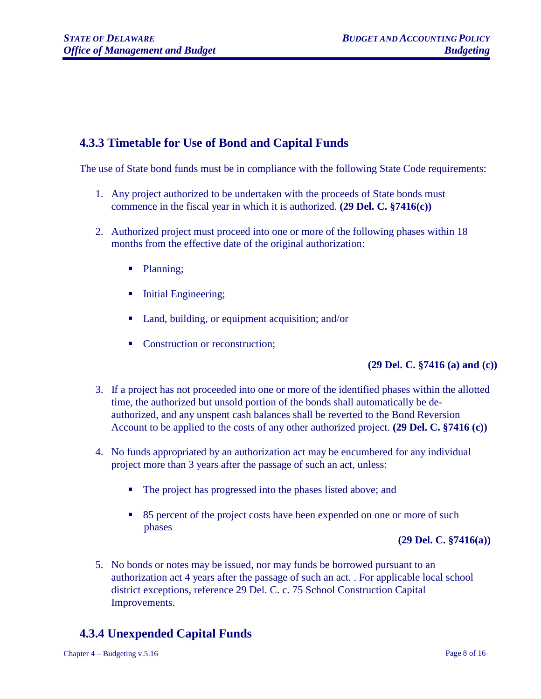# **4.3.3 Timetable for Use of Bond and Capital Funds**

The use of State bond funds must be in compliance with the following State Code requirements:

- 1. Any project authorized to be undertaken with the proceeds of State bonds must commence in the fiscal year in which it is authorized. **(29 Del. C. §7416(c))**
- 2. Authorized project must proceed into one or more of the following phases within 18 months from the effective date of the original authorization:
	- Planning;
	- Initial Engineering;
	- Land, building, or equipment acquisition; and/or
	- Construction or reconstruction;

#### **(29 Del. C. §7416 (a) and (c))**

- 3. If a project has not proceeded into one or more of the identified phases within the allotted time, the authorized but unsold portion of the bonds shall automatically be deauthorized, and any unspent cash balances shall be reverted to the Bond Reversion Account to be applied to the costs of any other authorized project. **(29 Del. C. §7416 (c))**
- 4. No funds appropriated by an authorization act may be encumbered for any individual project more than 3 years after the passage of such an act, unless:
	- The project has progressed into the phases listed above; and
	- 85 percent of the project costs have been expended on one or more of such phases

#### **(29 Del. C. §7416(a))**

5. No bonds or notes may be issued, nor may funds be borrowed pursuant to an authorization act 4 years after the passage of such an act. . For applicable local school district exceptions, reference 29 Del. C. c. 75 School Construction Capital Improvements.

# **4.3.4 Unexpended Capital Funds**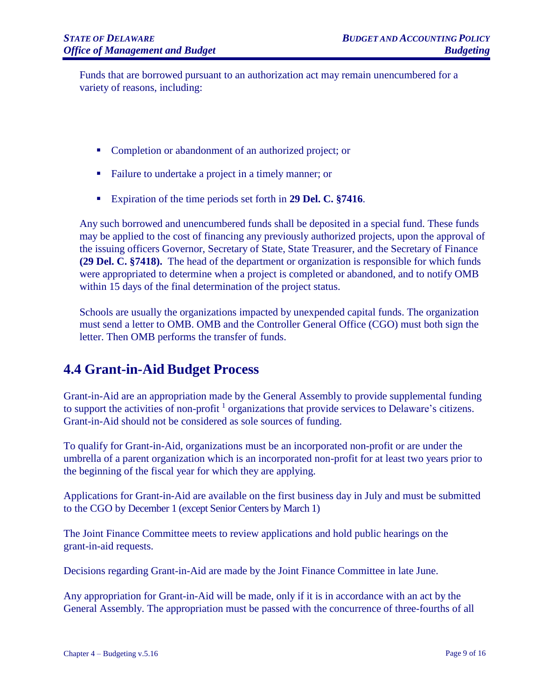Funds that are borrowed pursuant to an authorization act may remain unencumbered for a variety of reasons, including:

- Completion or abandonment of an authorized project; or
- Failure to undertake a project in a timely manner; or
- Expiration of the time periods set forth in **29 Del. C. §7416**.

Any such borrowed and unencumbered funds shall be deposited in a special fund. These funds may be applied to the cost of financing any previously authorized projects, upon the approval of the issuing officers Governor, Secretary of State, State Treasurer, and the Secretary of Finance **(29 Del. C. §7418).** The head of the department or organization is responsible for which funds were appropriated to determine when a project is completed or abandoned, and to notify OMB within 15 days of the final determination of the project status.

Schools are usually the organizations impacted by unexpended capital funds. The organization must send a letter to OMB. OMB and the Controller General Office (CGO) must both sign the letter. Then OMB performs the transfer of funds.

# **4.4 Grant-in-Aid Budget Process**

Grant-in-Aid are an appropriation made by the General Assembly to provide supplemental funding to support the activities of non-profit<sup>1</sup> organizations that provide services to Delaware's citizens. Grant-in-Aid should not be considered as sole sources of funding.

To qualify for Grant-in-Aid, organizations must be an incorporated non-profit or are under the umbrella of a parent organization which is an incorporated non-profit for at least two years prior to the beginning of the fiscal year for which they are applying.

Applications for Grant-in-Aid are available on the first business day in July and must be submitted to the CGO by December 1 (except Senior Centers by March 1)

The Joint Finance Committee meets to review applications and hold public hearings on the grant-in-aid requests.

Decisions regarding Grant-in-Aid are made by the Joint Finance Committee in late June.

Any appropriation for Grant-in-Aid will be made, only if it is in accordance with an act by the General Assembly. The appropriation must be passed with the concurrence of three-fourths of all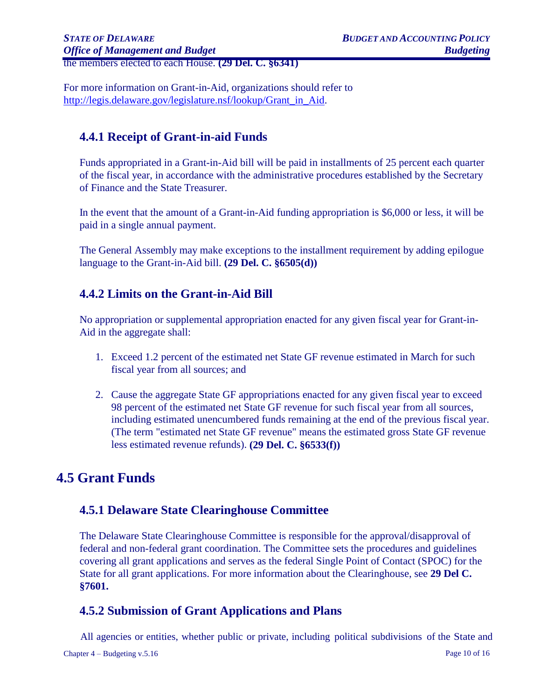the members elected to each House. **(29 Del. C. §6341)**

For more information on Grant-in-Aid, organizations should refer to [http://legis.delaware.gov/legislature.nsf/lookup/Grant\\_in\\_Aid.](http://legis.delaware.gov/legislature.nsf/lookup/Grant_in_Aid)

# **4.4.1 Receipt of Grant-in-aid Funds**

Funds appropriated in a Grant-in-Aid bill will be paid in installments of 25 percent each quarter of the fiscal year, in accordance with the administrative procedures established by the Secretary of Finance and the State Treasurer.

In the event that the amount of a Grant-in-Aid funding appropriation is \$6,000 or less, it will be paid in a single annual payment.

The General Assembly may make exceptions to the installment requirement by adding epilogue language to the Grant-in-Aid bill. **(29 Del. C. §6505(d))**

### **4.4.2 Limits on the Grant-in-Aid Bill**

No appropriation or supplemental appropriation enacted for any given fiscal year for Grant-in-Aid in the aggregate shall:

- 1. Exceed 1.2 percent of the estimated net State GF revenue estimated in March for such fiscal year from all sources; and
- 2. Cause the aggregate State GF appropriations enacted for any given fiscal year to exceed 98 percent of the estimated net State GF revenue for such fiscal year from all sources, including estimated unencumbered funds remaining at the end of the previous fiscal year. (The term "estimated net State GF revenue" means the estimated gross State GF revenue less estimated revenue refunds). **(29 Del. C. §6533(f))**

# **4.5 Grant Funds**

### **4.5.1 Delaware State Clearinghouse Committee**

The Delaware State Clearinghouse Committee is responsible for the approval/disapproval of federal and non-federal grant coordination. The Committee sets the procedures and guidelines covering all grant applications and serves as the federal Single Point of Contact (SPOC) for the State for all grant applications. For more information about the Clearinghouse, see **29 Del C. §7601.**

# **4.5.2 Submission of Grant Applications and Plans**

All agencies or entities, whether public or private, including political subdivisions of the State and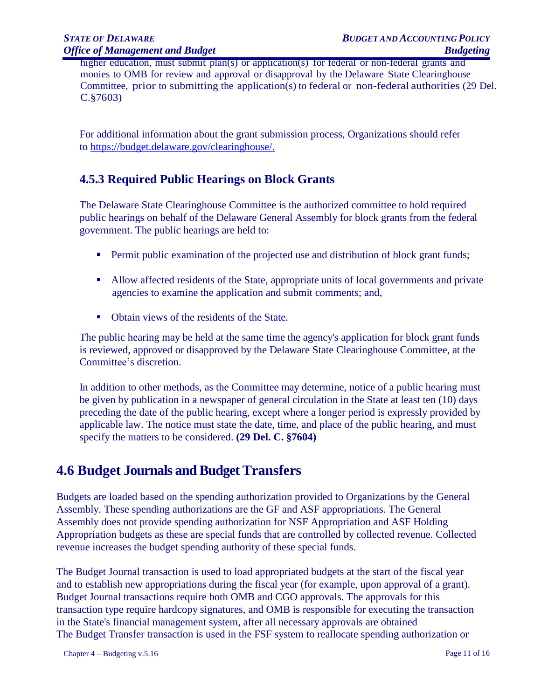higher education, must submit plan(s) or application(s) for federal or non-federal grants and monies to OMB for review and approval or disapproval by the Delaware State Clearinghouse Committee, prior to submitting the application(s) to federal or non-federal authorities (29 Del. C.§7603)

For additional information about the grant submission process, Organizations should refer to [https://budget.delaware.gov/clearinghouse/.](https://budget.delaware.gov/clearinghouse/)

# **4.5.3 Required Public Hearings on Block Grants**

The Delaware State Clearinghouse Committee is the authorized committee to hold required public hearings on behalf of the Delaware General Assembly for block grants from the federal government. The public hearings are held to:

- **Permit public examination of the projected use and distribution of block grant funds;**
- Allow affected residents of the State, appropriate units of local governments and private agencies to examine the application and submit comments; and,
- Obtain views of the residents of the State.

The public hearing may be held at the same time the agency's application for block grant funds is reviewed, approved or disapproved by the Delaware State Clearinghouse Committee, at the Committee's discretion.

In addition to other methods, as the Committee may determine, notice of a public hearing must be given by publication in a newspaper of general circulation in the State at least ten (10) days preceding the date of the public hearing, except where a longer period is expressly provided by applicable law. The notice must state the date, time, and place of the public hearing, and must specify the matters to be considered. **(29 Del. C. §7604)**

# **4.6 Budget Journals and Budget Transfers**

Budgets are loaded based on the spending authorization provided to Organizations by the General Assembly. These spending authorizations are the GF and ASF appropriations. The General Assembly does not provide spending authorization for NSF Appropriation and ASF Holding Appropriation budgets as these are special funds that are controlled by collected revenue. Collected revenue increases the budget spending authority of these special funds.

The Budget Journal transaction is used to load appropriated budgets at the start of the fiscal year and to establish new appropriations during the fiscal year (for example, upon approval of a grant). Budget Journal transactions require both OMB and CGO approvals. The approvals for this transaction type require hardcopy signatures, and OMB is responsible for executing the transaction in the State's financial management system, after all necessary approvals are obtained The Budget Transfer transaction is used in the FSF system to reallocate spending authorization or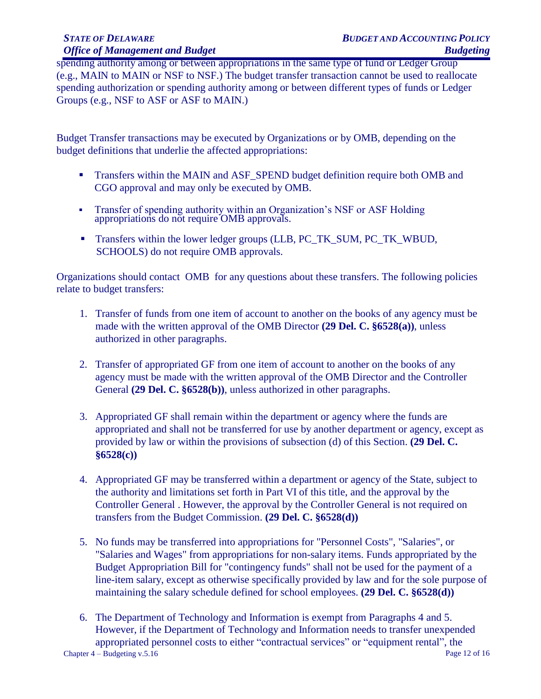spending authority among or between appropriations in the same type of fund or Ledger Group (e.g., MAIN to MAIN or NSF to NSF.) The budget transfer transaction cannot be used to reallocate spending authorization or spending authority among or between different types of funds or Ledger Groups (e.g., NSF to ASF or ASF to MAIN.)

Budget Transfer transactions may be executed by Organizations or by OMB, depending on the budget definitions that underlie the affected appropriations:

- Transfers within the MAIN and ASF\_SPEND budget definition require both OMB and CGO approval and may only be executed by OMB.
- **•** Transfer of spending authority within an Organization's NSF or ASF Holding appropriations do not require OMB approvals.
- **•** Transfers within the lower ledger groups (LLB, PC\_TK\_SUM, PC\_TK\_WBUD, SCHOOLS) do not require OMB approvals.

Organizations should contact OMB for any questions about these transfers. The following policies relate to budget transfers:

- 1. Transfer of funds from one item of account to another on the books of any agency must be made with the written approval of the OMB Director **(29 Del. C. §6528(a))**, unless authorized in other paragraphs.
- 2. Transfer of appropriated GF from one item of account to another on the books of any agency must be made with the written approval of the OMB Director and the Controller General **(29 Del. C. §6528(b))**, unless authorized in other paragraphs.
- 3. Appropriated GF shall remain within the department or agency where the funds are appropriated and shall not be transferred for use by another department or agency, except as provided by law or within the provisions of subsection (d) of this Section. **(29 Del. C. §6528(c))**
- 4. Appropriated GF may be transferred within a department or agency of the State, subject to the authority and limitations set forth in Part VI of this title, and the approval by the Controller General . However, the approval by the Controller General is not required on transfers from the Budget Commission. **(29 Del. C. §6528(d))**
- 5. No funds may be transferred into appropriations for "Personnel Costs", "Salaries", or "Salaries and Wages" from appropriations for non-salary items. Funds appropriated by the Budget Appropriation Bill for "contingency funds" shall not be used for the payment of a line-item salary, except as otherwise specifically provided by law and for the sole purpose of maintaining the salary schedule defined for school employees. **(29 Del. C. §6528(d))**
- Chapter 4 Budgeting v.5.16 Page 12 of 16 6. The Department of Technology and Information is exempt from Paragraphs 4 and 5. However, if the Department of Technology and Information needs to transfer unexpended appropriated personnel costs to either "contractual services" or "equipment rental", the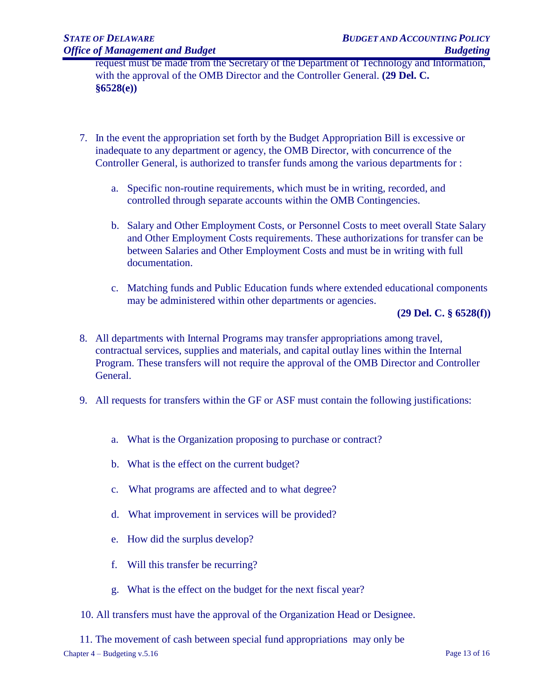request must be made from the Secretary of the Department of Technology and Information, with the approval of the OMB Director and the Controller General. **(29 Del. C. §6528(e))**

- 7. In the event the appropriation set forth by the Budget Appropriation Bill is excessive or inadequate to any department or agency, the OMB Director, with concurrence of the Controller General, is authorized to transfer funds among the various departments for :
	- a. Specific non-routine requirements, which must be in writing, recorded, and controlled through separate accounts within the OMB Contingencies.
	- b. Salary and Other Employment Costs, or Personnel Costs to meet overall State Salary and Other Employment Costs requirements. These authorizations for transfer can be between Salaries and Other Employment Costs and must be in writing with full documentation.
	- c. Matching funds and Public Education funds where extended educational components may be administered within other departments or agencies.

**(29 Del. C. § 6528(f))**

- 8. All departments with Internal Programs may transfer appropriations among travel, contractual services, supplies and materials, and capital outlay lines within the Internal Program. These transfers will not require the approval of the OMB Director and Controller General.
- 9. All requests for transfers within the GF or ASF must contain the following justifications:
	- a. What is the Organization proposing to purchase or contract?
	- b. What is the effect on the current budget?
	- c. What programs are affected and to what degree?
	- d. What improvement in services will be provided?
	- e. How did the surplus develop?
	- f. Will this transfer be recurring?
	- g. What is the effect on the budget for the next fiscal year?
- 10. All transfers must have the approval of the Organization Head or Designee.
- 11. The movement of cash between special fund appropriations may only be